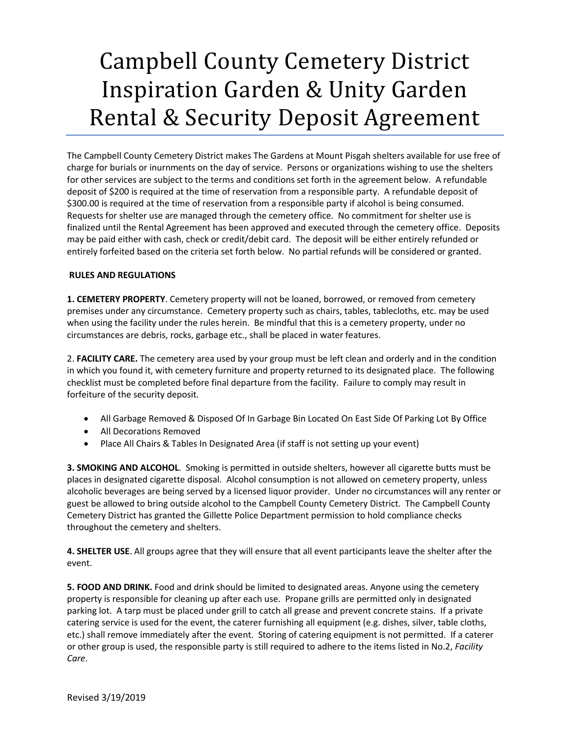## Campbell County Cemetery District Inspiration Garden & Unity Garden Rental & Security Deposit Agreement

The Campbell County Cemetery District makes The Gardens at Mount Pisgah shelters available for use free of charge for burials or inurnments on the day of service. Persons or organizations wishing to use the shelters for other services are subject to the terms and conditions set forth in the agreement below. A refundable deposit of \$200 is required at the time of reservation from a responsible party. A refundable deposit of \$300.00 is required at the time of reservation from a responsible party if alcohol is being consumed. Requests for shelter use are managed through the cemetery office. No commitment for shelter use is finalized until the Rental Agreement has been approved and executed through the cemetery office. Deposits may be paid either with cash, check or credit/debit card. The deposit will be either entirely refunded or entirely forfeited based on the criteria set forth below. No partial refunds will be considered or granted.

## **RULES AND REGULATIONS**

**1. CEMETERY PROPERTY**. Cemetery property will not be loaned, borrowed, or removed from cemetery premises under any circumstance. Cemetery property such as chairs, tables, tablecloths, etc. may be used when using the facility under the rules herein. Be mindful that this is a cemetery property, under no circumstances are debris, rocks, garbage etc., shall be placed in water features.

2. **FACILITY CARE.** The cemetery area used by your group must be left clean and orderly and in the condition in which you found it, with cemetery furniture and property returned to its designated place. The following checklist must be completed before final departure from the facility. Failure to comply may result in forfeiture of the security deposit.

- All Garbage Removed & Disposed Of In Garbage Bin Located On East Side Of Parking Lot By Office
- All Decorations Removed
- Place All Chairs & Tables In Designated Area (if staff is not setting up your event)

**3. SMOKING AND ALCOHOL**. Smoking is permitted in outside shelters, however all cigarette butts must be places in designated cigarette disposal. Alcohol consumption is not allowed on cemetery property, unless alcoholic beverages are being served by a licensed liquor provider. Under no circumstances will any renter or guest be allowed to bring outside alcohol to the Campbell County Cemetery District. The Campbell County Cemetery District has granted the Gillette Police Department permission to hold compliance checks throughout the cemetery and shelters.

**4. SHELTER USE**. All groups agree that they will ensure that all event participants leave the shelter after the event.

**5. FOOD AND DRINK.** Food and drink should be limited to designated areas. Anyone using the cemetery property is responsible for cleaning up after each use. Propane grills are permitted only in designated parking lot. A tarp must be placed under grill to catch all grease and prevent concrete stains. If a private catering service is used for the event, the caterer furnishing all equipment (e.g. dishes, silver, table cloths, etc.) shall remove immediately after the event. Storing of catering equipment is not permitted. If a caterer or other group is used, the responsible party is still required to adhere to the items listed in No.2, *Facility Care*.